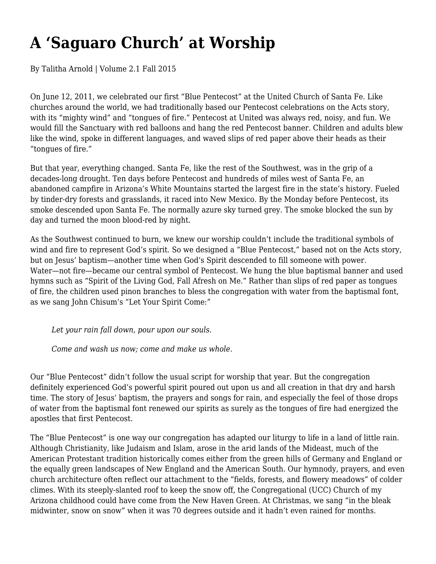## **A 'Saguaro Church' at Worship**

By Talitha Arnold | Volume 2.1 Fall 2015

On June 12, 2011, we celebrated our first "Blue Pentecost" at the United Church of Santa Fe. Like churches around the world, we had traditionally based our Pentecost celebrations on the Acts story, with its "mighty wind" and "tongues of fire." Pentecost at United was always red, noisy, and fun. We would fill the Sanctuary with red balloons and hang the red Pentecost banner. Children and adults blew like the wind, spoke in different languages, and waved slips of red paper above their heads as their "tongues of fire."

But that year, everything changed. Santa Fe, like the rest of the Southwest, was in the grip of a decades-long drought. Ten days before Pentecost and hundreds of miles west of Santa Fe, an abandoned campfire in Arizona's White Mountains started the largest fire in the state's history. Fueled by tinder-dry forests and grasslands, it raced into New Mexico. By the Monday before Pentecost, its smoke descended upon Santa Fe. The normally azure sky turned grey. The smoke blocked the sun by day and turned the moon blood-red by night.

As the Southwest continued to burn, we knew our worship couldn't include the traditional symbols of wind and fire to represent God's spirit. So we designed a "Blue Pentecost," based not on the Acts story, but on Jesus' baptism—another time when God's Spirit descended to fill someone with power. Water—not fire—became our central symbol of Pentecost. We hung the blue baptismal banner and used hymns such as "Spirit of the Living God, Fall Afresh on Me." Rather than slips of red paper as tongues of fire, the children used pinon branches to bless the congregation with water from the baptismal font, as we sang John Chisum's "Let Your Spirit Come:"

*Let your rain fall down, pour upon our souls.*

*Come and wash us now; come and make us whole.*

Our "Blue Pentecost" didn't follow the usual script for worship that year. But the congregation definitely experienced God's powerful spirit poured out upon us and all creation in that dry and harsh time. The story of Jesus' baptism, the prayers and songs for rain, and especially the feel of those drops of water from the baptismal font renewed our spirits as surely as the tongues of fire had energized the apostles that first Pentecost.

The "Blue Pentecost" is one way our congregation has adapted our liturgy to life in a land of little rain. Although Christianity, like Judaism and Islam, arose in the arid lands of the Mideast, much of the American Protestant tradition historically comes either from the green hills of Germany and England or the equally green landscapes of New England and the American South. Our hymnody, prayers, and even church architecture often reflect our attachment to the "fields, forests, and flowery meadows" of colder climes. With its steeply-slanted roof to keep the snow off, the Congregational (UCC) Church of my Arizona childhood could have come from the New Haven Green. At Christmas, we sang "in the bleak midwinter, snow on snow" when it was 70 degrees outside and it hadn't even rained for months.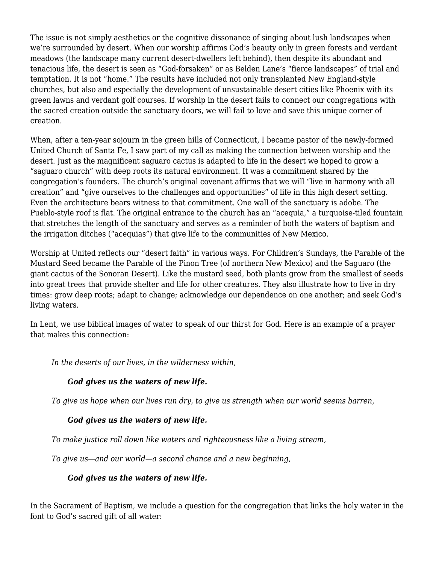The issue is not simply aesthetics or the cognitive dissonance of singing about lush landscapes when we're surrounded by desert. When our worship affirms God's beauty only in green forests and verdant meadows (the landscape many current desert-dwellers left behind), then despite its abundant and tenacious life, the desert is seen as "God-forsaken" or as Belden Lane's "fierce landscapes" of trial and temptation. It is not "home." The results have included not only transplanted New England-style churches, but also and especially the development of unsustainable desert cities like Phoenix with its green lawns and verdant golf courses. If worship in the desert fails to connect our congregations with the sacred creation outside the sanctuary doors, we will fail to love and save this unique corner of creation.

When, after a ten-year sojourn in the green hills of Connecticut, I became pastor of the newly-formed United Church of Santa Fe, I saw part of my call as making the connection between worship and the desert. Just as the magnificent saguaro cactus is adapted to life in the desert we hoped to grow a "saguaro church" with deep roots its natural environment. It was a commitment shared by the congregation's founders. The church's original covenant affirms that we will "live in harmony with all creation" and "give ourselves to the challenges and opportunities" of life in this high desert setting. Even the architecture bears witness to that commitment. One wall of the sanctuary is adobe. The Pueblo-style roof is flat. The original entrance to the church has an "acequia," a turquoise-tiled fountain that stretches the length of the sanctuary and serves as a reminder of both the waters of baptism and the irrigation ditches ("acequias") that give life to the communities of New Mexico.

Worship at United reflects our "desert faith" in various ways. For Children's Sundays, the Parable of the Mustard Seed became the Parable of the Pinon Tree (of northern New Mexico) and the Saguaro (the giant cactus of the Sonoran Desert). Like the mustard seed, both plants grow from the smallest of seeds into great trees that provide shelter and life for other creatures. They also illustrate how to live in dry times: grow deep roots; adapt to change; acknowledge our dependence on one another; and seek God's living waters.

In Lent, we use biblical images of water to speak of our thirst for God. Here is an example of a prayer that makes this connection:

*In the deserts of our lives, in the wilderness within,*

## *God gives us the waters of new life.*

*To give us hope when our lives run dry, to give us strength when our world seems barren,*

## *God gives us the waters of new life.*

*To make justice roll down like waters and righteousness like a living stream,*

*To give us—and our world—a second chance and a new beginning,*

## *God gives us the waters of new life.*

In the Sacrament of Baptism, we include a question for the congregation that links the holy water in the font to God's sacred gift of all water: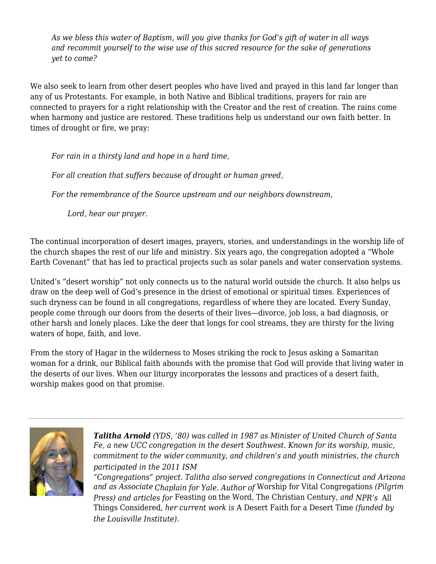*As we bless this water of Baptism, will you give thanks for God's gift of water in all ways and recommit yourself to the wise use of this sacred resource for the sake of generations yet to come?*

We also seek to learn from other desert peoples who have lived and prayed in this land far longer than any of us Protestants. For example, in both Native and Biblical traditions, prayers for rain are connected to prayers for a right relationship with the Creator and the rest of creation. The rains come when harmony and justice are restored. These traditions help us understand our own faith better. In times of drought or fire, we pray:

*For rain in a thirsty land and hope in a hard time,*

*For all creation that suffers because of drought or human greed,*

*For the remembrance of the Source upstream and our neighbors downstream,*

*Lord, hear our prayer.*

The continual incorporation of desert images, prayers, stories, and understandings in the worship life of the church shapes the rest of our life and ministry. Six years ago, the congregation adopted a "Whole Earth Covenant" that has led to practical projects such as solar panels and water conservation systems.

United's "desert worship" not only connects us to the natural world outside the church. It also helps us draw on the deep well of God's presence in the driest of emotional or spiritual times. Experiences of such dryness can be found in all congregations, regardless of where they are located. Every Sunday, people come through our doors from the deserts of their lives—divorce, job loss, a bad diagnosis, or other harsh and lonely places. Like the deer that longs for cool streams, they are thirsty for the living waters of hope, faith, and love.

From the story of Hagar in the wilderness to Moses striking the rock to Jesus asking a Samaritan woman for a drink, our Biblical faith abounds with the promise that God will provide that living water in the deserts of our lives. When our liturgy incorporates the lessons and practices of a desert faith, worship makes good on that promise.



*Talitha Arnold (YDS, '80) was called in 1987 as Minister of United Church of Santa Fe, a new UCC congregation in the desert Southwest. Known for its worship, music, commitment to the wider community, and children's and youth ministries, the church participated in the 2011 ISM*

*"Congregations" project. Talitha also served congregations in Connecticut and Arizona and as Associate Chaplain for Yale. Author of* Worship for Vital Congregations *(Pilgrim Press) and articles for* Feasting on the Word*,* The Christian Century*, and NPR's* All Things Considered*, her current work is* A Desert Faith for a Desert Time *(funded by the Louisville Institute).*